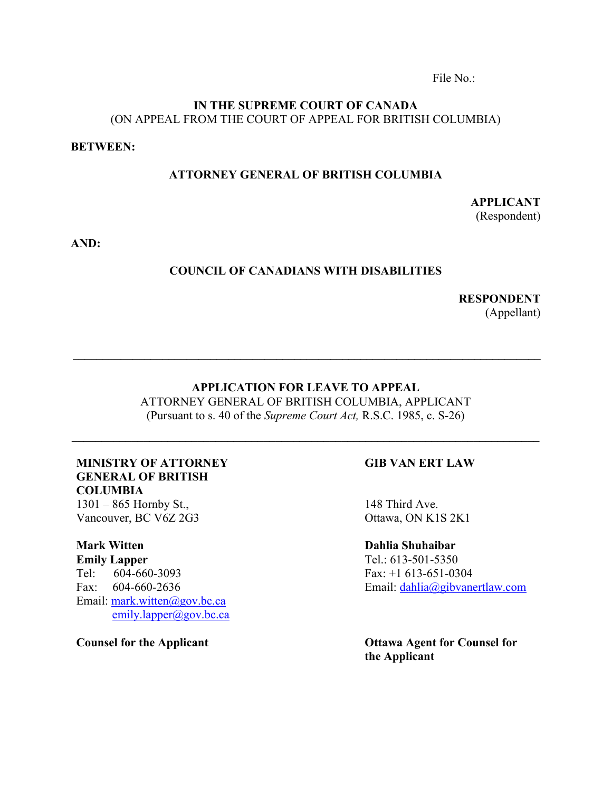File No.:

# **IN THE SUPREME COURT OF CANADA** (ON APPEAL FROM THE COURT OF APPEAL FOR BRITISH COLUMBIA)

### **BETWEEN:**

## **ATTORNEY GENERAL OF BRITISH COLUMBIA**

**APPLICANT** (Respondent)

**AND:**

## **COUNCIL OF CANADIANS WITH DISABILITIES**

**RESPONDENT** (Appellant)

# **APPLICATION FOR LEAVE TO APPEAL**

**\_\_\_\_\_\_\_\_\_\_\_\_\_\_\_\_\_\_\_\_\_\_\_\_\_\_\_\_\_\_\_\_\_\_\_\_\_\_\_\_\_\_\_\_\_\_\_\_\_\_\_\_\_\_\_\_\_\_\_\_\_\_\_\_\_\_\_\_\_\_\_\_\_\_\_\_\_\_**

ATTORNEY GENERAL OF BRITISH COLUMBIA, APPLICANT (Pursuant to s. 40 of the *Supreme Court Act,* R.S.C. 1985, c. S-26)

**\_\_\_\_\_\_\_\_\_\_\_\_\_\_\_\_\_\_\_\_\_\_\_\_\_\_\_\_\_\_\_\_\_\_\_\_\_\_\_\_\_\_\_\_\_\_\_\_\_\_\_\_\_\_\_\_\_\_\_\_\_\_\_\_\_\_\_\_\_\_\_\_\_\_\_\_\_\_**

# **MINISTRY OF ATTORNEY GENERAL OF BRITISH COLUMBIA**

1301 – 865 Hornby St., Vancouver, BC V6Z 2G3

**Mark Witten Emily Lapper** Tel: 604-660-3093 Fax: 604-660-2636 Email: mark.witten@gov.bc.ca emily.lapper@gov.bc.ca

**Counsel for the Applicant**

# **GIB VAN ERT LAW**

148 Third Ave. Ottawa, ON K1S 2K1

**Dahlia Shuhaibar** Tel.: 613-501-5350 Fax: +1 613-651-0304 Email: dahlia@gibvanertlaw.com

**Ottawa Agent for Counsel for the Applicant**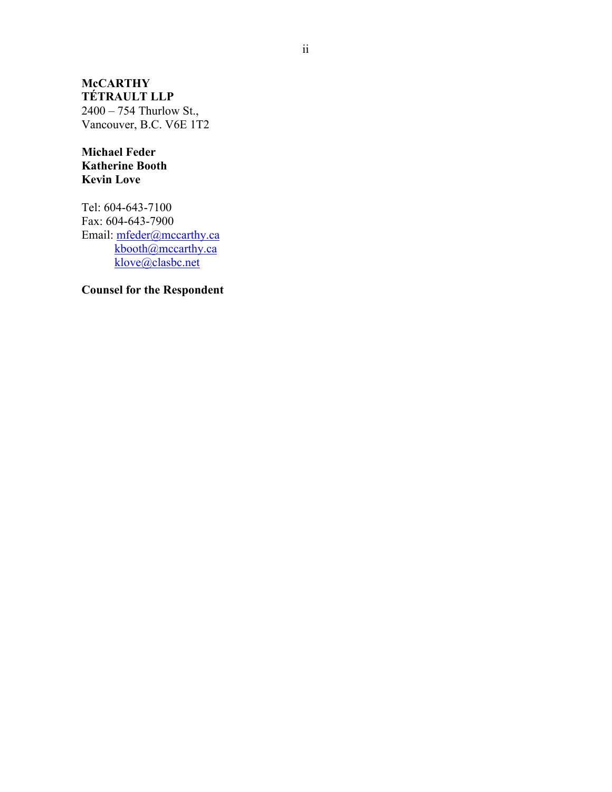**McCARTHY TÉTRAULT LLP**  2400 – 754 Thurlow St., Vancouver, B.C. V6E 1T2

**Michael Feder Katherine Booth Kevin Love**

Tel: 604-643-7100 Fax: 604-643-7900 Email: mfeder@mccarthy.ca kbooth@mccarthy.ca klove@clasbc.net

**Counsel for the Respondent**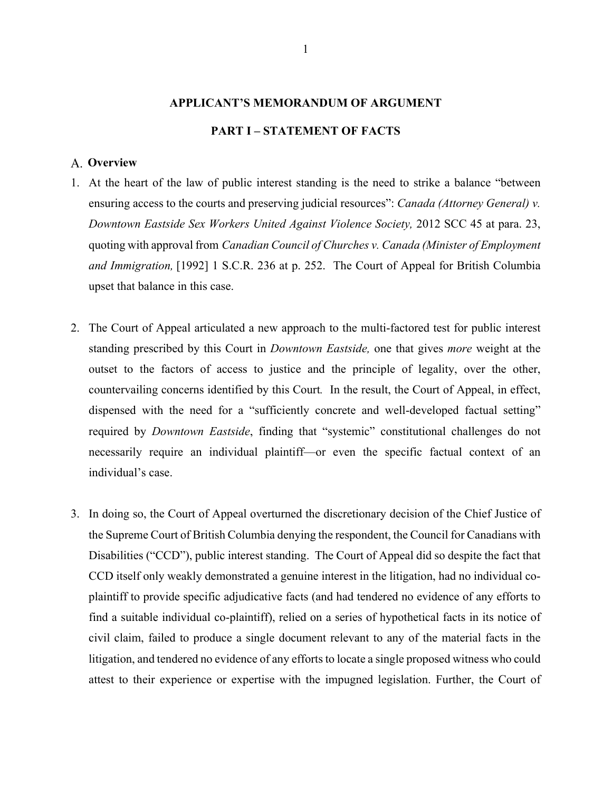# **APPLICANT'S MEMORANDUM OF ARGUMENT PART I – STATEMENT OF FACTS**

## **Overview**

- 1. At the heart of the law of public interest standing is the need to strike a balance "between ensuring access to the courts and preserving judicial resources": *Canada (Attorney General) v. Downtown Eastside Sex Workers United Against Violence Society,* 2012 SCC 45 at para. 23, quoting with approval from *Canadian Council of Churches v. Canada (Minister of Employment and Immigration,* [1992] 1 S.C.R. 236 at p. 252. The Court of Appeal for British Columbia upset that balance in this case.
- 2. The Court of Appeal articulated a new approach to the multi-factored test for public interest standing prescribed by this Court in *Downtown Eastside,* one that gives *more* weight at the outset to the factors of access to justice and the principle of legality, over the other, countervailing concerns identified by this Court*.* In the result, the Court of Appeal, in effect, dispensed with the need for a "sufficiently concrete and well-developed factual setting" required by *Downtown Eastside*, finding that "systemic" constitutional challenges do not necessarily require an individual plaintiff—or even the specific factual context of an individual's case.
- 3. In doing so, the Court of Appeal overturned the discretionary decision of the Chief Justice of the Supreme Court of British Columbia denying the respondent, the Council for Canadians with Disabilities ("CCD"), public interest standing. The Court of Appeal did so despite the fact that CCD itself only weakly demonstrated a genuine interest in the litigation, had no individual coplaintiff to provide specific adjudicative facts (and had tendered no evidence of any efforts to find a suitable individual co-plaintiff), relied on a series of hypothetical facts in its notice of civil claim, failed to produce a single document relevant to any of the material facts in the litigation, and tendered no evidence of any efforts to locate a single proposed witness who could attest to their experience or expertise with the impugned legislation. Further, the Court of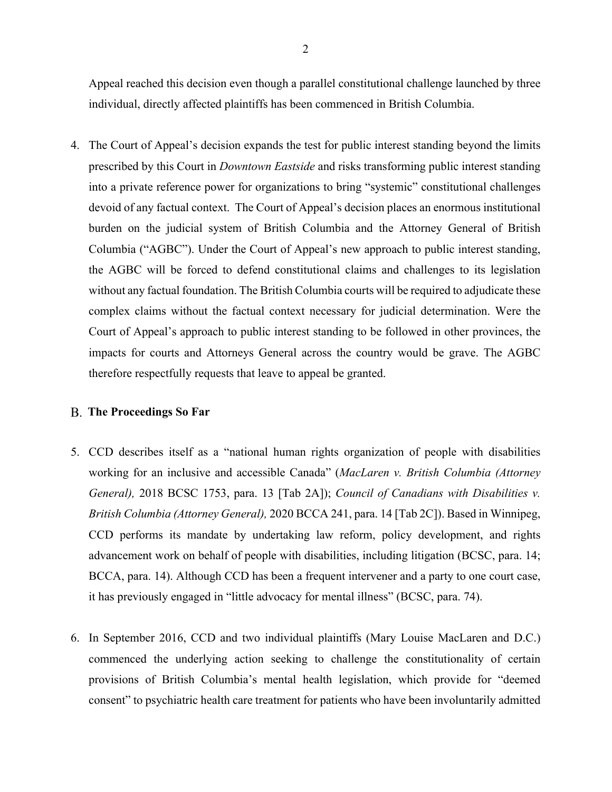Appeal reached this decision even though a parallel constitutional challenge launched by three individual, directly affected plaintiffs has been commenced in British Columbia.

4. The Court of Appeal's decision expands the test for public interest standing beyond the limits prescribed by this Court in *Downtown Eastside* and risks transforming public interest standing into a private reference power for organizations to bring "systemic" constitutional challenges devoid of any factual context. The Court of Appeal's decision places an enormous institutional burden on the judicial system of British Columbia and the Attorney General of British Columbia ("AGBC"). Under the Court of Appeal's new approach to public interest standing, the AGBC will be forced to defend constitutional claims and challenges to its legislation without any factual foundation. The British Columbia courts will be required to adjudicate these complex claims without the factual context necessary for judicial determination. Were the Court of Appeal's approach to public interest standing to be followed in other provinces, the impacts for courts and Attorneys General across the country would be grave. The AGBC therefore respectfully requests that leave to appeal be granted.

#### **The Proceedings So Far**

- 5. CCD describes itself as a "national human rights organization of people with disabilities working for an inclusive and accessible Canada" (*MacLaren v. British Columbia (Attorney General),* 2018 BCSC 1753, para. 13 [Tab 2A]); *Council of Canadians with Disabilities v. British Columbia (Attorney General),* 2020 BCCA 241, para. 14 [Tab 2C]). Based in Winnipeg, CCD performs its mandate by undertaking law reform, policy development, and rights advancement work on behalf of people with disabilities, including litigation (BCSC, para. 14; BCCA, para. 14). Although CCD has been a frequent intervener and a party to one court case, it has previously engaged in "little advocacy for mental illness" (BCSC, para. 74).
- 6. In September 2016, CCD and two individual plaintiffs (Mary Louise MacLaren and D.C.) commenced the underlying action seeking to challenge the constitutionality of certain provisions of British Columbia's mental health legislation, which provide for "deemed consent" to psychiatric health care treatment for patients who have been involuntarily admitted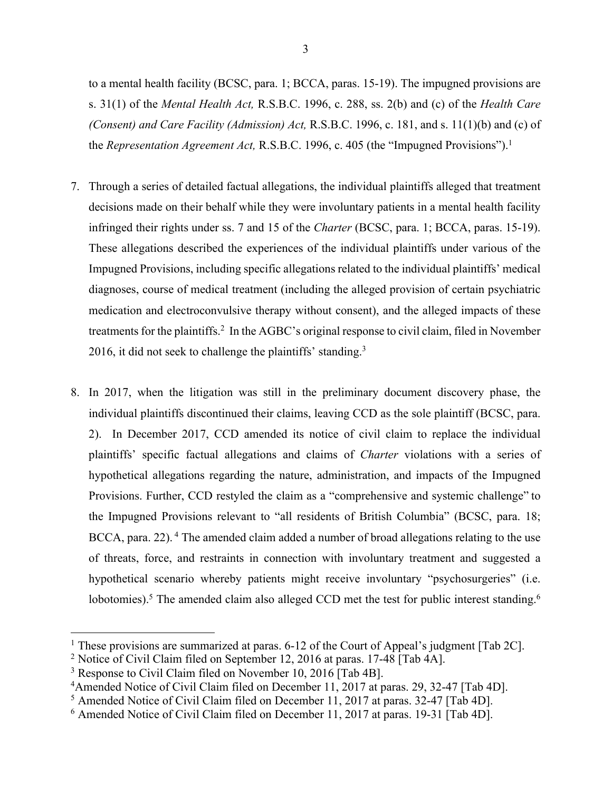to a mental health facility (BCSC, para. 1; BCCA, paras. 15-19). The impugned provisions are s. 31(1) of the *Mental Health Act,* R.S.B.C. 1996, c. 288, ss. 2(b) and (c) of the *Health Care (Consent) and Care Facility (Admission) Act,* R.S.B.C. 1996, c. 181, and s. 11(1)(b) and (c) of the *Representation Agreement Act,* R.S.B.C. 1996, c. 405 (the "Impugned Provisions"). 1

- 7. Through a series of detailed factual allegations, the individual plaintiffs alleged that treatment decisions made on their behalf while they were involuntary patients in a mental health facility infringed their rights under ss. 7 and 15 of the *Charter* (BCSC, para. 1; BCCA, paras. 15-19). These allegations described the experiences of the individual plaintiffs under various of the Impugned Provisions, including specific allegations related to the individual plaintiffs' medical diagnoses, course of medical treatment (including the alleged provision of certain psychiatric medication and electroconvulsive therapy without consent), and the alleged impacts of these treatments for the plaintiffs.2 In the AGBC's original response to civil claim, filed in November 2016, it did not seek to challenge the plaintiffs' standing.<sup>3</sup>
- 8. In 2017, when the litigation was still in the preliminary document discovery phase, the individual plaintiffs discontinued their claims, leaving CCD as the sole plaintiff (BCSC, para. 2). In December 2017, CCD amended its notice of civil claim to replace the individual plaintiffs' specific factual allegations and claims of *Charter* violations with a series of hypothetical allegations regarding the nature, administration, and impacts of the Impugned Provisions. Further, CCD restyled the claim as a "comprehensive and systemic challenge" to the Impugned Provisions relevant to "all residents of British Columbia" (BCSC, para. 18; BCCA, para. 22).<sup>4</sup> The amended claim added a number of broad allegations relating to the use of threats, force, and restraints in connection with involuntary treatment and suggested a hypothetical scenario whereby patients might receive involuntary "psychosurgeries" (i.e. lobotomies).<sup>5</sup> The amended claim also alleged CCD met the test for public interest standing.<sup>6</sup>

<sup>&</sup>lt;sup>1</sup> These provisions are summarized at paras.  $6-12$  of the Court of Appeal's judgment [Tab 2C].

<sup>2</sup> Notice of Civil Claim filed on September 12, 2016 at paras. 17-48 [Tab 4A].

<sup>&</sup>lt;sup>3</sup> Response to Civil Claim filed on November 10, 2016 [Tab 4B].

<sup>&</sup>lt;sup>4</sup>Amended Notice of Civil Claim filed on December 11, 2017 at paras. 29, 32-47 [Tab 4D].

<sup>5</sup> Amended Notice of Civil Claim filed on December 11, 2017 at paras. 32-47 [Tab 4D].

<sup>6</sup> Amended Notice of Civil Claim filed on December 11, 2017 at paras. 19-31 [Tab 4D].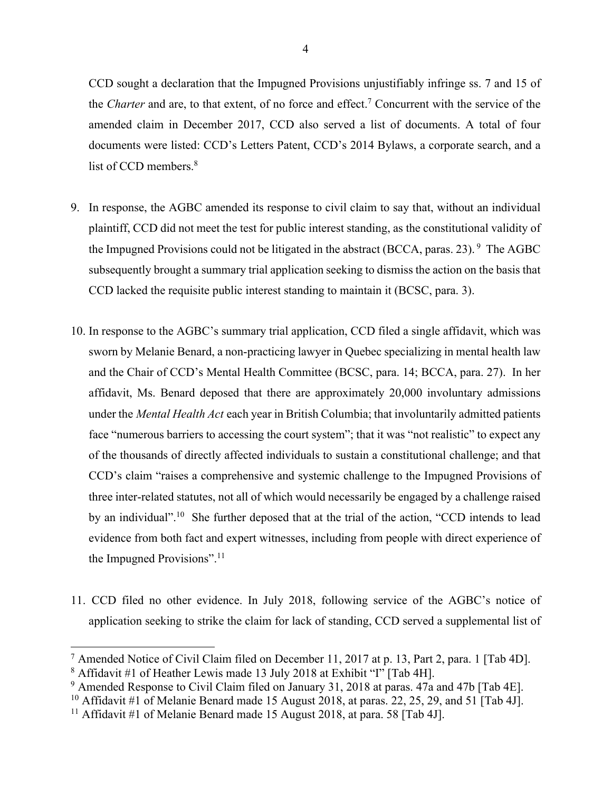CCD sought a declaration that the Impugned Provisions unjustifiably infringe ss. 7 and 15 of the *Charter* and are, to that extent, of no force and effect.<sup>7</sup> Concurrent with the service of the amended claim in December 2017, CCD also served a list of documents. A total of four documents were listed: CCD's Letters Patent, CCD's 2014 Bylaws, a corporate search, and a list of CCD members.<sup>8</sup>

- 9. In response, the AGBC amended its response to civil claim to say that, without an individual plaintiff, CCD did not meet the test for public interest standing, as the constitutional validity of the Impugned Provisions could not be litigated in the abstract (BCCA, paras. 23). <sup>9</sup> The AGBC subsequently brought a summary trial application seeking to dismiss the action on the basis that CCD lacked the requisite public interest standing to maintain it (BCSC, para. 3).
- 10. In response to the AGBC's summary trial application, CCD filed a single affidavit, which was sworn by Melanie Benard, a non-practicing lawyer in Quebec specializing in mental health law and the Chair of CCD's Mental Health Committee (BCSC, para. 14; BCCA, para. 27). In her affidavit, Ms. Benard deposed that there are approximately 20,000 involuntary admissions under the *Mental Health Act* each year in British Columbia; that involuntarily admitted patients face "numerous barriers to accessing the court system"; that it was "not realistic" to expect any of the thousands of directly affected individuals to sustain a constitutional challenge; and that CCD's claim "raises a comprehensive and systemic challenge to the Impugned Provisions of three inter-related statutes, not all of which would necessarily be engaged by a challenge raised by an individual".<sup>10</sup> She further deposed that at the trial of the action, "CCD intends to lead evidence from both fact and expert witnesses, including from people with direct experience of the Impugned Provisions".<sup>11</sup>
- 11. CCD filed no other evidence. In July 2018, following service of the AGBC's notice of application seeking to strike the claim for lack of standing, CCD served a supplemental list of

<sup>&</sup>lt;sup>7</sup> Amended Notice of Civil Claim filed on December 11, 2017 at p. 13, Part 2, para. 1 [Tab 4D]. <sup>8</sup> Affidavit #1 of Heather Lewis made 13 July 2018 at Exhibit "I" [Tab 4H].

<sup>&</sup>lt;sup>9</sup> Amended Response to Civil Claim filed on January 31, 2018 at paras. 47a and 47b [Tab 4E].

<sup>&</sup>lt;sup>10</sup> Affidavit #1 of Melanie Benard made 15 August 2018, at paras. 22, 25, 29, and 51 [Tab 4J].<br><sup>11</sup> Affidavit #1 of Melanie Benard made 15 August 2018, at para. 58 [Tab 4J].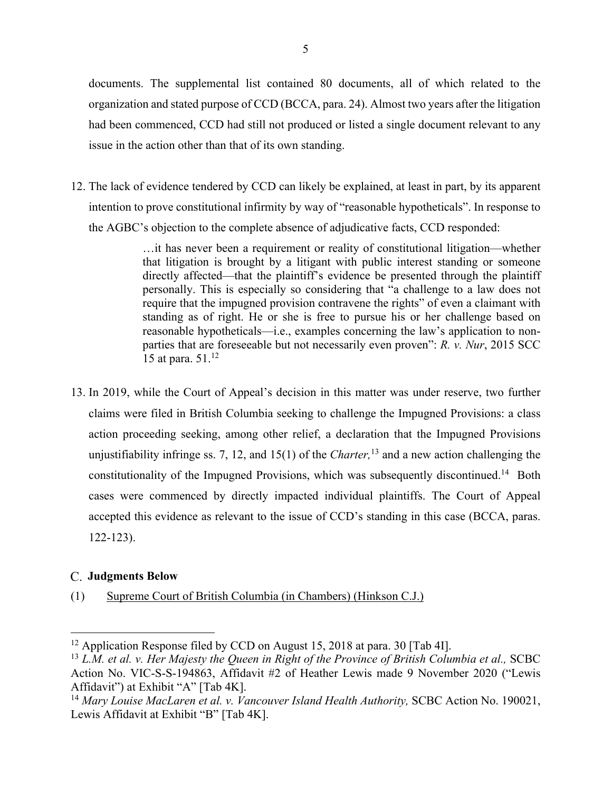documents. The supplemental list contained 80 documents, all of which related to the organization and stated purpose of CCD (BCCA, para. 24). Almost two years after the litigation had been commenced, CCD had still not produced or listed a single document relevant to any issue in the action other than that of its own standing.

12. The lack of evidence tendered by CCD can likely be explained, at least in part, by its apparent intention to prove constitutional infirmity by way of "reasonable hypotheticals". In response to the AGBC's objection to the complete absence of adjudicative facts, CCD responded:

> …it has never been a requirement or reality of constitutional litigation—whether that litigation is brought by a litigant with public interest standing or someone directly affected—that the plaintiff's evidence be presented through the plaintiff personally. This is especially so considering that "a challenge to a law does not require that the impugned provision contravene the rights" of even a claimant with standing as of right. He or she is free to pursue his or her challenge based on reasonable hypotheticals—i.e., examples concerning the law's application to nonparties that are foreseeable but not necessarily even proven": *R. v. Nur*, 2015 SCC 15 at para. 51.12

13. In 2019, while the Court of Appeal's decision in this matter was under reserve, two further claims were filed in British Columbia seeking to challenge the Impugned Provisions: a class action proceeding seeking, among other relief, a declaration that the Impugned Provisions unjustifiability infringe ss. 7, 12, and 15(1) of the *Charter,* <sup>13</sup> and a new action challenging the constitutionality of the Impugned Provisions, which was subsequently discontinued.<sup>14</sup> Both cases were commenced by directly impacted individual plaintiffs. The Court of Appeal accepted this evidence as relevant to the issue of CCD's standing in this case (BCCA, paras. 122-123).

## **Judgments Below**

(1) Supreme Court of British Columbia (in Chambers) (Hinkson C.J.)

<sup>&</sup>lt;sup>12</sup> Application Response filed by CCD on August 15, 2018 at para. 30 [Tab 4I].<br><sup>13</sup> *L.M. et al. v. Her Majesty the Queen in Right of the Province of British Columbia et al., SCBC* Action No. VIC-S-S-194863, Affidavit #2 of Heather Lewis made 9 November 2020 ("Lewis Affidavit") at Exhibit "A" [Tab 4K].

<sup>&</sup>lt;sup>14</sup> Mary Louise MacLaren et al. v. Vancouver Island Health Authority, SCBC Action No. 190021, Lewis Affidavit at Exhibit "B" [Tab 4K].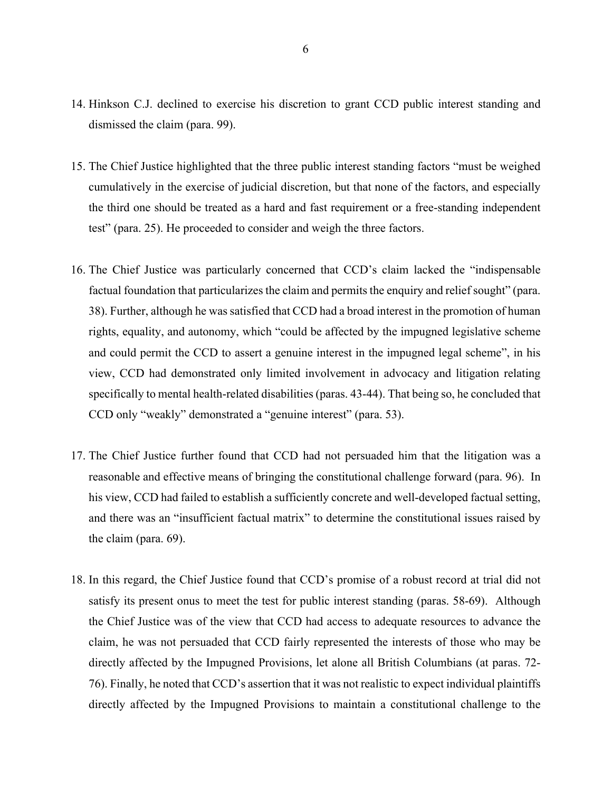- 14. Hinkson C.J. declined to exercise his discretion to grant CCD public interest standing and dismissed the claim (para. 99).
- 15. The Chief Justice highlighted that the three public interest standing factors "must be weighed cumulatively in the exercise of judicial discretion, but that none of the factors, and especially the third one should be treated as a hard and fast requirement or a free-standing independent test" (para. 25). He proceeded to consider and weigh the three factors.
- 16. The Chief Justice was particularly concerned that CCD's claim lacked the "indispensable factual foundation that particularizes the claim and permits the enquiry and relief sought" (para. 38). Further, although he was satisfied that CCD had a broad interest in the promotion of human rights, equality, and autonomy, which "could be affected by the impugned legislative scheme and could permit the CCD to assert a genuine interest in the impugned legal scheme", in his view, CCD had demonstrated only limited involvement in advocacy and litigation relating specifically to mental health-related disabilities (paras. 43-44). That being so, he concluded that CCD only "weakly" demonstrated a "genuine interest" (para. 53).
- 17. The Chief Justice further found that CCD had not persuaded him that the litigation was a reasonable and effective means of bringing the constitutional challenge forward (para. 96). In his view, CCD had failed to establish a sufficiently concrete and well-developed factual setting, and there was an "insufficient factual matrix" to determine the constitutional issues raised by the claim (para. 69).
- 18. In this regard, the Chief Justice found that CCD's promise of a robust record at trial did not satisfy its present onus to meet the test for public interest standing (paras. 58-69). Although the Chief Justice was of the view that CCD had access to adequate resources to advance the claim, he was not persuaded that CCD fairly represented the interests of those who may be directly affected by the Impugned Provisions, let alone all British Columbians (at paras. 72- 76). Finally, he noted that CCD's assertion that it was not realistic to expect individual plaintiffs directly affected by the Impugned Provisions to maintain a constitutional challenge to the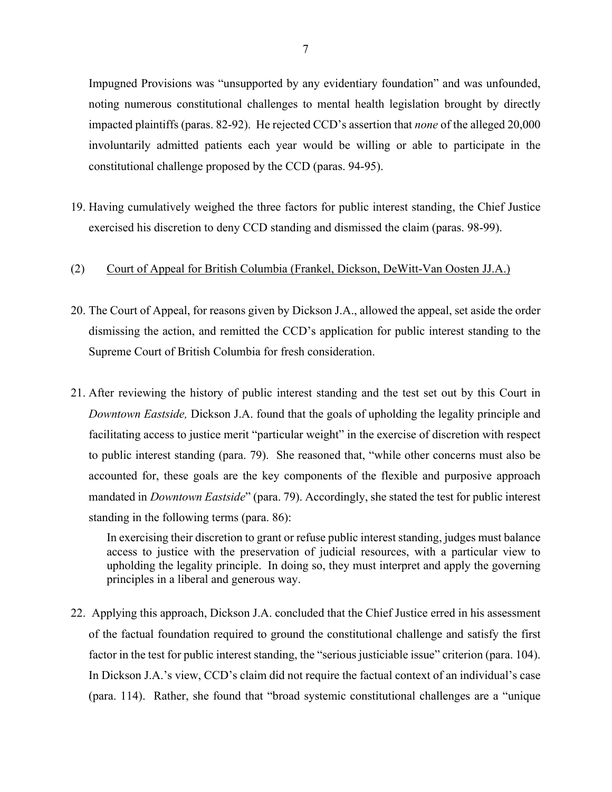Impugned Provisions was "unsupported by any evidentiary foundation" and was unfounded, noting numerous constitutional challenges to mental health legislation brought by directly impacted plaintiffs (paras. 82-92). He rejected CCD's assertion that *none* of the alleged 20,000 involuntarily admitted patients each year would be willing or able to participate in the constitutional challenge proposed by the CCD (paras. 94-95).

19. Having cumulatively weighed the three factors for public interest standing, the Chief Justice exercised his discretion to deny CCD standing and dismissed the claim (paras. 98-99).

#### (2) Court of Appeal for British Columbia (Frankel, Dickson, DeWitt-Van Oosten JJ.A.)

- 20. The Court of Appeal, for reasons given by Dickson J.A., allowed the appeal, set aside the order dismissing the action, and remitted the CCD's application for public interest standing to the Supreme Court of British Columbia for fresh consideration.
- 21. After reviewing the history of public interest standing and the test set out by this Court in *Downtown Eastside,* Dickson J.A. found that the goals of upholding the legality principle and facilitating access to justice merit "particular weight" in the exercise of discretion with respect to public interest standing (para. 79). She reasoned that, "while other concerns must also be accounted for, these goals are the key components of the flexible and purposive approach mandated in *Downtown Eastside*" (para. 79). Accordingly, she stated the test for public interest standing in the following terms (para. 86):

In exercising their discretion to grant or refuse public interest standing, judges must balance access to justice with the preservation of judicial resources, with a particular view to upholding the legality principle. In doing so, they must interpret and apply the governing principles in a liberal and generous way.

22. Applying this approach, Dickson J.A. concluded that the Chief Justice erred in his assessment of the factual foundation required to ground the constitutional challenge and satisfy the first factor in the test for public interest standing, the "serious justiciable issue" criterion (para. 104). In Dickson J.A.'s view, CCD's claim did not require the factual context of an individual's case (para. 114). Rather, she found that "broad systemic constitutional challenges are a "unique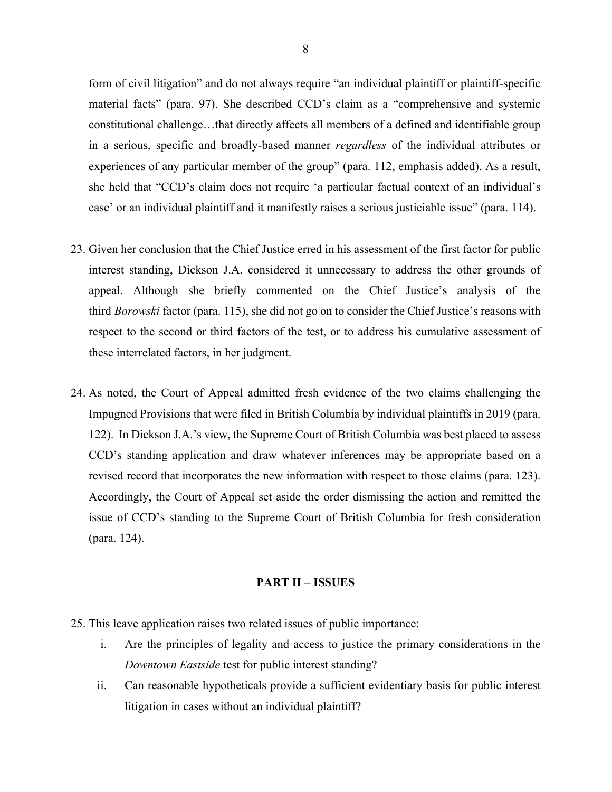form of civil litigation" and do not always require "an individual plaintiff or plaintiff-specific material facts" (para. 97). She described CCD's claim as a "comprehensive and systemic constitutional challenge…that directly affects all members of a defined and identifiable group in a serious, specific and broadly-based manner *regardless* of the individual attributes or experiences of any particular member of the group" (para. 112, emphasis added). As a result, she held that "CCD's claim does not require 'a particular factual context of an individual's case' or an individual plaintiff and it manifestly raises a serious justiciable issue" (para. 114).

- 23. Given her conclusion that the Chief Justice erred in his assessment of the first factor for public interest standing, Dickson J.A. considered it unnecessary to address the other grounds of appeal. Although she briefly commented on the Chief Justice's analysis of the third *Borowski* factor (para. 115), she did not go on to consider the Chief Justice's reasons with respect to the second or third factors of the test, or to address his cumulative assessment of these interrelated factors, in her judgment.
- 24. As noted, the Court of Appeal admitted fresh evidence of the two claims challenging the Impugned Provisions that were filed in British Columbia by individual plaintiffs in 2019 (para. 122). In Dickson J.A.'s view, the Supreme Court of British Columbia was best placed to assess CCD's standing application and draw whatever inferences may be appropriate based on a revised record that incorporates the new information with respect to those claims (para. 123). Accordingly, the Court of Appeal set aside the order dismissing the action and remitted the issue of CCD's standing to the Supreme Court of British Columbia for fresh consideration (para. 124).

#### **PART II – ISSUES**

- 25. This leave application raises two related issues of public importance:
	- i. Are the principles of legality and access to justice the primary considerations in the *Downtown Eastside* test for public interest standing?
	- ii. Can reasonable hypotheticals provide a sufficient evidentiary basis for public interest litigation in cases without an individual plaintiff?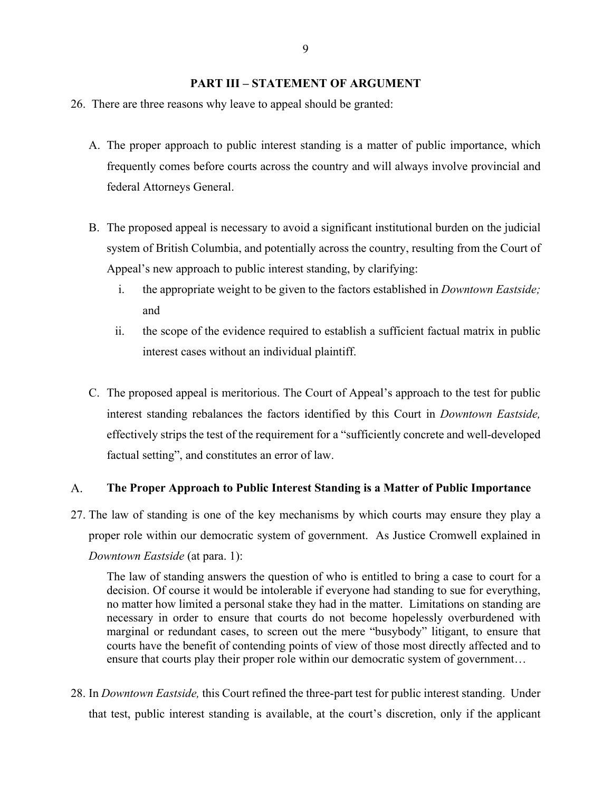### **PART III – STATEMENT OF ARGUMENT**

- 26. There are three reasons why leave to appeal should be granted:
	- A. The proper approach to public interest standing is a matter of public importance, which frequently comes before courts across the country and will always involve provincial and federal Attorneys General.
	- B. The proposed appeal is necessary to avoid a significant institutional burden on the judicial system of British Columbia, and potentially across the country, resulting from the Court of Appeal's new approach to public interest standing, by clarifying:
		- i. the appropriate weight to be given to the factors established in *Downtown Eastside;*  and
		- ii. the scope of the evidence required to establish a sufficient factual matrix in public interest cases without an individual plaintiff.
	- C. The proposed appeal is meritorious. The Court of Appeal's approach to the test for public interest standing rebalances the factors identified by this Court in *Downtown Eastside,*  effectively strips the test of the requirement for a "sufficiently concrete and well-developed factual setting", and constitutes an error of law.

#### A. **The Proper Approach to Public Interest Standing is a Matter of Public Importance**

27. The law of standing is one of the key mechanisms by which courts may ensure they play a proper role within our democratic system of government. As Justice Cromwell explained in *Downtown Eastside* (at para. 1):

The law of standing answers the question of who is entitled to bring a case to court for a decision. Of course it would be intolerable if everyone had standing to sue for everything, no matter how limited a personal stake they had in the matter. Limitations on standing are necessary in order to ensure that courts do not become hopelessly overburdened with marginal or redundant cases, to screen out the mere "busybody" litigant, to ensure that courts have the benefit of contending points of view of those most directly affected and to ensure that courts play their proper role within our democratic system of government…

28. In *Downtown Eastside,* this Court refined the three-part test for public interest standing. Under that test, public interest standing is available, at the court's discretion, only if the applicant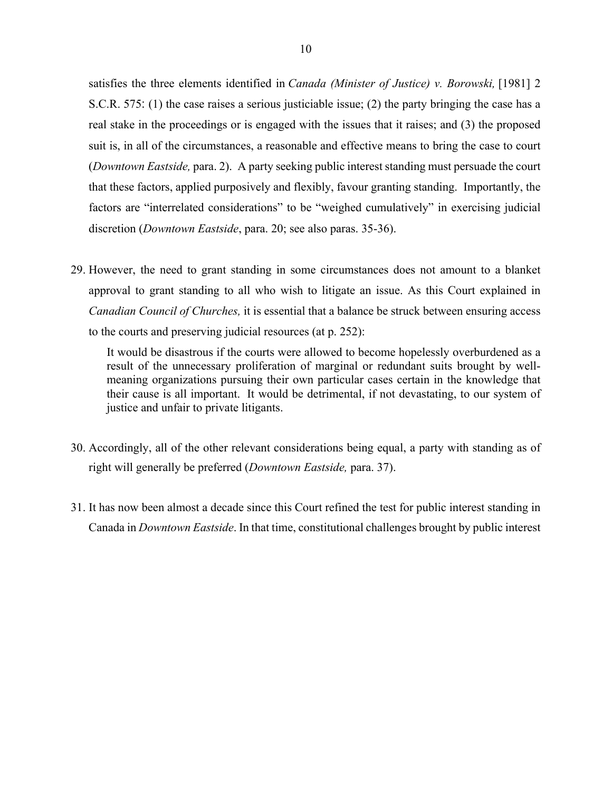satisfies the three elements identified in *Canada (Minister of Justice) v. Borowski,* [1981] 2 S.C.R. 575: (1) the case raises a serious justiciable issue; (2) the party bringing the case has a real stake in the proceedings or is engaged with the issues that it raises; and (3) the proposed suit is, in all of the circumstances, a reasonable and effective means to bring the case to court (*Downtown Eastside,* para. 2). A party seeking public interest standing must persuade the court that these factors, applied purposively and flexibly, favour granting standing. Importantly, the factors are "interrelated considerations" to be "weighed cumulatively" in exercising judicial discretion (*Downtown Eastside*, para. 20; see also paras. 35-36).

29. However, the need to grant standing in some circumstances does not amount to a blanket approval to grant standing to all who wish to litigate an issue. As this Court explained in *Canadian Council of Churches,* it is essential that a balance be struck between ensuring access to the courts and preserving judicial resources (at p. 252):

It would be disastrous if the courts were allowed to become hopelessly overburdened as a result of the unnecessary proliferation of marginal or redundant suits brought by wellmeaning organizations pursuing their own particular cases certain in the knowledge that their cause is all important. It would be detrimental, if not devastating, to our system of justice and unfair to private litigants.

- 30. Accordingly, all of the other relevant considerations being equal, a party with standing as of right will generally be preferred (*Downtown Eastside,* para. 37).
- 31. It has now been almost a decade since this Court refined the test for public interest standing in Canada in *Downtown Eastside*. In that time, constitutional challenges brought by public interest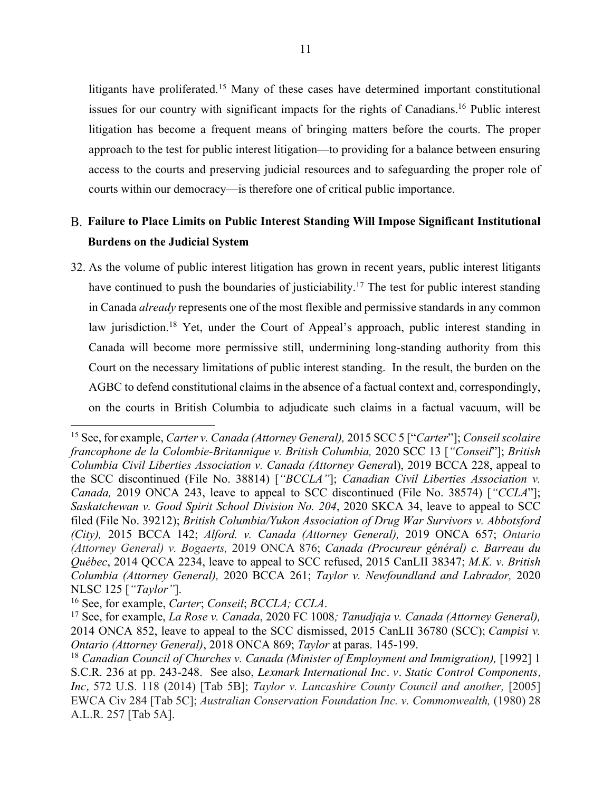litigants have proliferated.<sup>15</sup> Many of these cases have determined important constitutional issues for our country with significant impacts for the rights of Canadians. <sup>16</sup> Public interest litigation has become a frequent means of bringing matters before the courts. The proper approach to the test for public interest litigation—to providing for a balance between ensuring access to the courts and preserving judicial resources and to safeguarding the proper role of courts within our democracy—is therefore one of critical public importance.

# **Failure to Place Limits on Public Interest Standing Will Impose Significant Institutional Burdens on the Judicial System**

32. As the volume of public interest litigation has grown in recent years, public interest litigants have continued to push the boundaries of justiciability.<sup>17</sup> The test for public interest standing in Canada *already* represents one of the most flexible and permissive standards in any common law jurisdiction.<sup>18</sup> Yet, under the Court of Appeal's approach, public interest standing in Canada will become more permissive still, undermining long-standing authority from this Court on the necessary limitations of public interest standing. In the result, the burden on the AGBC to defend constitutional claims in the absence of a factual context and, correspondingly, on the courts in British Columbia to adjudicate such claims in a factual vacuum, will be

<sup>15</sup> See, for example, *Carter v. Canada (Attorney General),* 2015 SCC 5 ["*Carter*"]; *Conseil scolaire francophone de la Colombie-Britannique v. British Columbia,* 2020 SCC 13 [*"Conseil*"]; *British Columbia Civil Liberties Association v. Canada (Attorney Genera*l), 2019 BCCA 228, appeal to the SCC discontinued (File No. 38814) [*"BCCLA"*]; *Canadian Civil Liberties Association v. Canada,* 2019 ONCA 243, leave to appeal to SCC discontinued (File No. 38574) [*"CCLA*"]; *Saskatchewan v. Good Spirit School Division No. 204*, 2020 SKCA 34, leave to appeal to SCC filed (File No. 39212); *British Columbia/Yukon Association of Drug War Survivors v. Abbotsford (City),* 2015 BCCA 142; *Alford. v. Canada (Attorney General),* 2019 ONCA 657; *Ontario (Attorney General) v. Bogaerts,* 2019 ONCA 876; *Canada (Procureur général) c. Barreau du Québec*, 2014 QCCA 2234, leave to appeal to SCC refused, 2015 CanLII 38347; *M.K. v. British Columbia (Attorney General),* 2020 BCCA 261; *Taylor v. Newfoundland and Labrador,* 2020 NLSC 125 [*"Taylor"*]. 16 See, for example, *Carter*; *Conseil*; *BCCLA; CCLA*.

<sup>17</sup> See, for example, *La Rose v. Canada*, 2020 FC 1008*; Tanudjaja v. Canada (Attorney General),* 2014 ONCA 852, leave to appeal to the SCC dismissed, 2015 CanLII 36780 (SCC); *Campisi v. Ontario (Attorney General)*, 2018 ONCA 869; *Taylor* at paras. 145-199.<br><sup>18</sup> *Canadian Council of Churches v. Canada (Minister of Employment and Immigration),* [1992] 1

S.C.R. 236 at pp. 243-248. See also, *Lexmark International Inc. v. Static Control Components, Inc,* 572 U.S. 118 (2014) [Tab 5B]; *Taylor v. Lancashire County Council and another,* [2005] EWCA Civ 284 [Tab 5C]; *Australian Conservation Foundation Inc. v. Commonwealth,* (1980) 28 A.L.R. 257 [Tab 5A].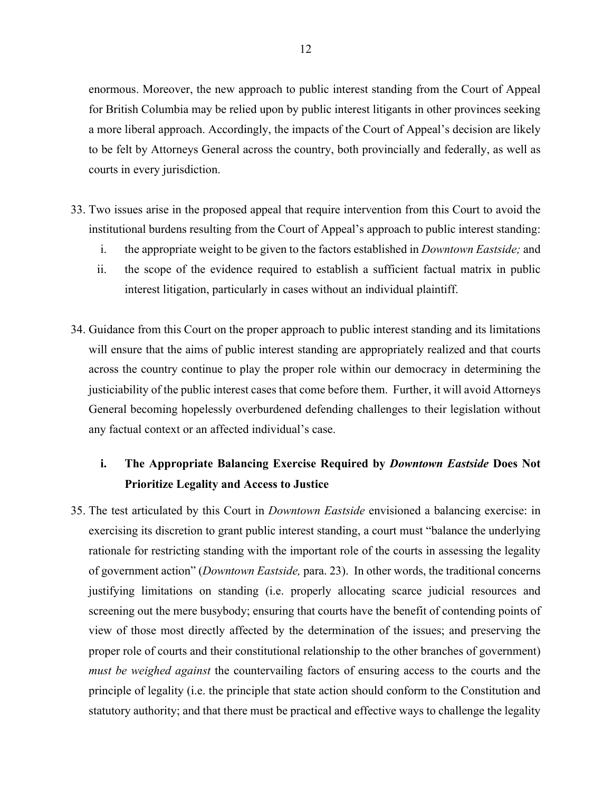enormous. Moreover, the new approach to public interest standing from the Court of Appeal for British Columbia may be relied upon by public interest litigants in other provinces seeking a more liberal approach. Accordingly, the impacts of the Court of Appeal's decision are likely to be felt by Attorneys General across the country, both provincially and federally, as well as courts in every jurisdiction.

- 33. Two issues arise in the proposed appeal that require intervention from this Court to avoid the institutional burdens resulting from the Court of Appeal's approach to public interest standing:
	- i. the appropriate weight to be given to the factors established in *Downtown Eastside;* and
	- ii. the scope of the evidence required to establish a sufficient factual matrix in public interest litigation, particularly in cases without an individual plaintiff.
- 34. Guidance from this Court on the proper approach to public interest standing and its limitations will ensure that the aims of public interest standing are appropriately realized and that courts across the country continue to play the proper role within our democracy in determining the justiciability of the public interest cases that come before them. Further, it will avoid Attorneys General becoming hopelessly overburdened defending challenges to their legislation without any factual context or an affected individual's case.

# **i. The Appropriate Balancing Exercise Required by** *Downtown Eastside* **Does Not Prioritize Legality and Access to Justice**

35. The test articulated by this Court in *Downtown Eastside* envisioned a balancing exercise: in exercising its discretion to grant public interest standing, a court must "balance the underlying rationale for restricting standing with the important role of the courts in assessing the legality of government action" (*Downtown Eastside,* para. 23). In other words, the traditional concerns justifying limitations on standing (i.e. properly allocating scarce judicial resources and screening out the mere busybody; ensuring that courts have the benefit of contending points of view of those most directly affected by the determination of the issues; and preserving the proper role of courts and their constitutional relationship to the other branches of government) *must be weighed against* the countervailing factors of ensuring access to the courts and the principle of legality (i.e. the principle that state action should conform to the Constitution and statutory authority; and that there must be practical and effective ways to challenge the legality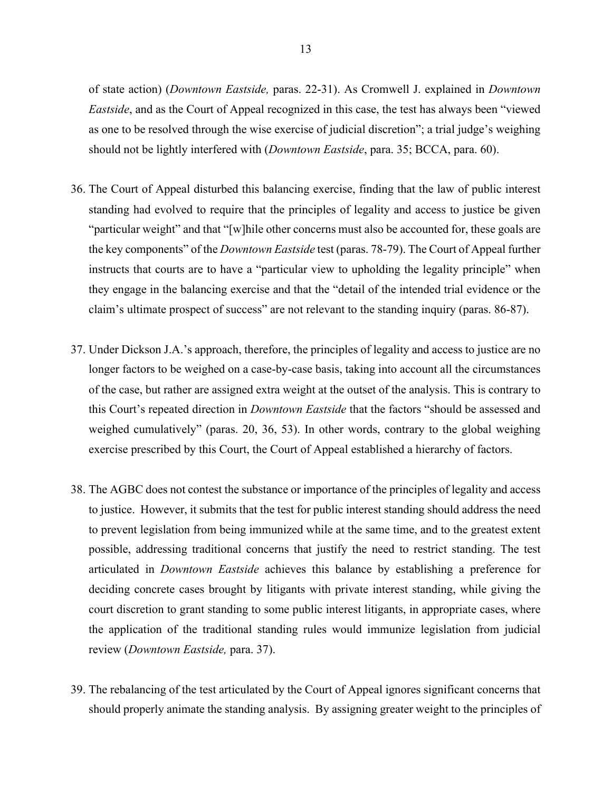of state action) (*Downtown Eastside,* paras. 22-31). As Cromwell J. explained in *Downtown Eastside*, and as the Court of Appeal recognized in this case, the test has always been "viewed as one to be resolved through the wise exercise of judicial discretion"; a trial judge's weighing should not be lightly interfered with (*Downtown Eastside*, para. 35; BCCA, para. 60).

- 36. The Court of Appeal disturbed this balancing exercise, finding that the law of public interest standing had evolved to require that the principles of legality and access to justice be given "particular weight" and that "[w]hile other concerns must also be accounted for, these goals are the key components" of the *Downtown Eastside* test (paras. 78-79). The Court of Appeal further instructs that courts are to have a "particular view to upholding the legality principle" when they engage in the balancing exercise and that the "detail of the intended trial evidence or the claim's ultimate prospect of success" are not relevant to the standing inquiry (paras. 86-87).
- 37. Under Dickson J.A.'s approach, therefore, the principles of legality and access to justice are no longer factors to be weighed on a case-by-case basis, taking into account all the circumstances of the case, but rather are assigned extra weight at the outset of the analysis. This is contrary to this Court's repeated direction in *Downtown Eastside* that the factors "should be assessed and weighed cumulatively" (paras. 20, 36, 53). In other words, contrary to the global weighing exercise prescribed by this Court, the Court of Appeal established a hierarchy of factors.
- 38. The AGBC does not contest the substance or importance of the principles of legality and access to justice. However, it submits that the test for public interest standing should address the need to prevent legislation from being immunized while at the same time, and to the greatest extent possible, addressing traditional concerns that justify the need to restrict standing. The test articulated in *Downtown Eastside* achieves this balance by establishing a preference for deciding concrete cases brought by litigants with private interest standing, while giving the court discretion to grant standing to some public interest litigants, in appropriate cases, where the application of the traditional standing rules would immunize legislation from judicial review (*Downtown Eastside,* para. 37).
- 39. The rebalancing of the test articulated by the Court of Appeal ignores significant concerns that should properly animate the standing analysis. By assigning greater weight to the principles of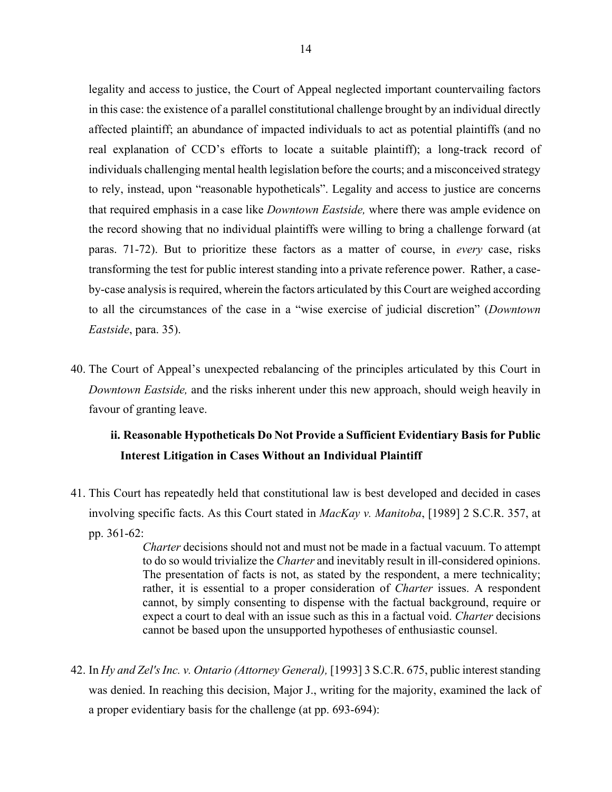legality and access to justice, the Court of Appeal neglected important countervailing factors in this case: the existence of a parallel constitutional challenge brought by an individual directly affected plaintiff; an abundance of impacted individuals to act as potential plaintiffs (and no real explanation of CCD's efforts to locate a suitable plaintiff); a long-track record of individuals challenging mental health legislation before the courts; and a misconceived strategy to rely, instead, upon "reasonable hypotheticals". Legality and access to justice are concerns that required emphasis in a case like *Downtown Eastside,* where there was ample evidence on the record showing that no individual plaintiffs were willing to bring a challenge forward (at paras. 71-72). But to prioritize these factors as a matter of course, in *every* case, risks transforming the test for public interest standing into a private reference power. Rather, a caseby-case analysis is required, wherein the factors articulated by this Court are weighed according to all the circumstances of the case in a "wise exercise of judicial discretion" (*Downtown Eastside*, para. 35).

40. The Court of Appeal's unexpected rebalancing of the principles articulated by this Court in *Downtown Eastside,* and the risks inherent under this new approach, should weigh heavily in favour of granting leave.

# **ii. Reasonable Hypotheticals Do Not Provide a Sufficient Evidentiary Basis for Public Interest Litigation in Cases Without an Individual Plaintiff**

41. This Court has repeatedly held that constitutional law is best developed and decided in cases involving specific facts. As this Court stated in *MacKay v. Manitoba*, [1989] 2 S.C.R. 357, at pp. 361-62:

> *Charter* decisions should not and must not be made in a factual vacuum. To attempt to do so would trivialize the *Charter* and inevitably result in ill-considered opinions. The presentation of facts is not, as stated by the respondent, a mere technicality; rather, it is essential to a proper consideration of *Charter* issues. A respondent cannot, by simply consenting to dispense with the factual background, require or expect a court to deal with an issue such as this in a factual void. *Charter* decisions cannot be based upon the unsupported hypotheses of enthusiastic counsel.

42. In *Hy and Zel's Inc. v. Ontario (Attorney General),* [1993] 3 S.C.R. 675, public interest standing was denied. In reaching this decision, Major J., writing for the majority, examined the lack of a proper evidentiary basis for the challenge (at pp. 693-694):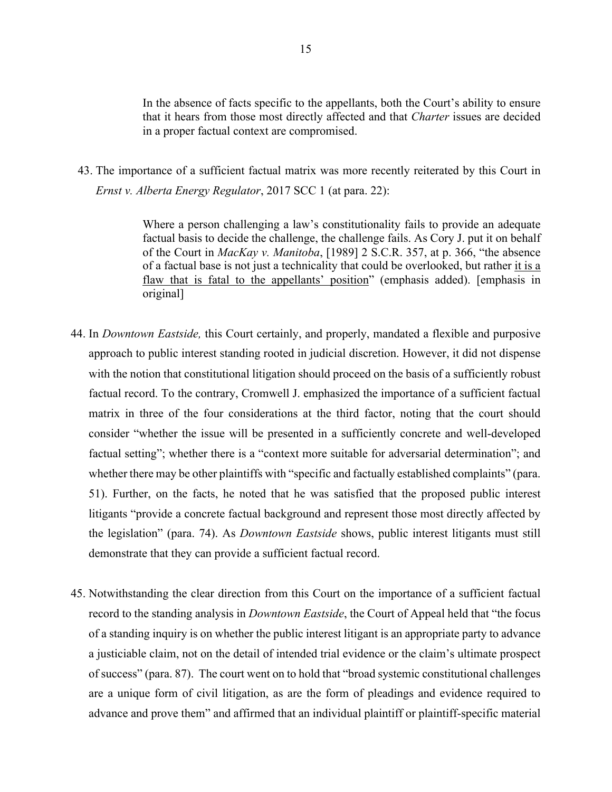In the absence of facts specific to the appellants, both the Court's ability to ensure that it hears from those most directly affected and that *Charter* issues are decided in a proper factual context are compromised.

43. The importance of a sufficient factual matrix was more recently reiterated by this Court in *Ernst v. Alberta Energy Regulator*, 2017 SCC 1 (at para. 22):

> Where a person challenging a law's constitutionality fails to provide an adequate factual basis to decide the challenge, the challenge fails. As Cory J. put it on behalf of the Court in *MacKay v. Manitoba*, [1989] 2 S.C.R. 357, at p. 366, "the absence of a factual base is not just a technicality that could be overlooked, but rather it is a flaw that is fatal to the appellants' position" (emphasis added). [emphasis in original]

- 44. In *Downtown Eastside,* this Court certainly, and properly, mandated a flexible and purposive approach to public interest standing rooted in judicial discretion. However, it did not dispense with the notion that constitutional litigation should proceed on the basis of a sufficiently robust factual record. To the contrary, Cromwell J. emphasized the importance of a sufficient factual matrix in three of the four considerations at the third factor, noting that the court should consider "whether the issue will be presented in a sufficiently concrete and well-developed factual setting"; whether there is a "context more suitable for adversarial determination"; and whether there may be other plaintiffs with "specific and factually established complaints" (para. 51). Further, on the facts, he noted that he was satisfied that the proposed public interest litigants "provide a concrete factual background and represent those most directly affected by the legislation" (para. 74). As *Downtown Eastside* shows, public interest litigants must still demonstrate that they can provide a sufficient factual record.
- 45. Notwithstanding the clear direction from this Court on the importance of a sufficient factual record to the standing analysis in *Downtown Eastside*, the Court of Appeal held that "the focus of a standing inquiry is on whether the public interest litigant is an appropriate party to advance a justiciable claim, not on the detail of intended trial evidence or the claim's ultimate prospect of success" (para. 87). The court went on to hold that "broad systemic constitutional challenges are a unique form of civil litigation, as are the form of pleadings and evidence required to advance and prove them" and affirmed that an individual plaintiff or plaintiff-specific material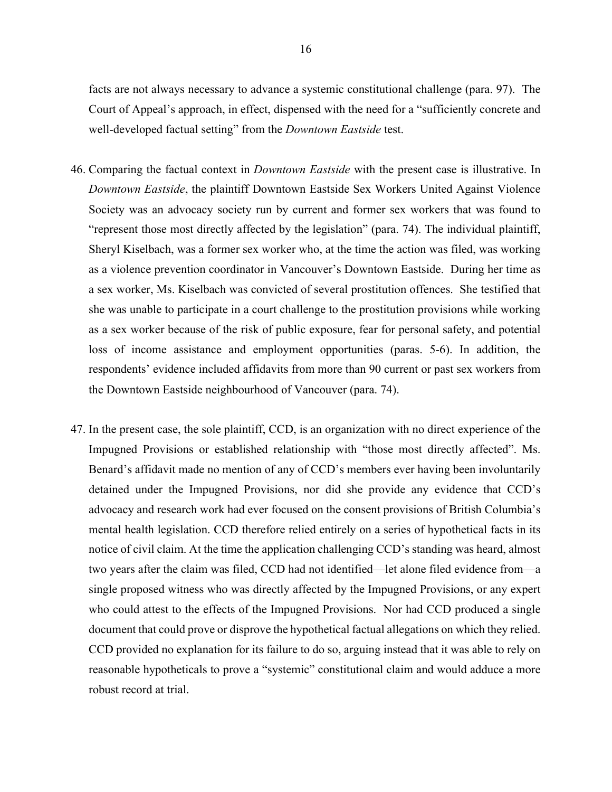facts are not always necessary to advance a systemic constitutional challenge (para. 97). The Court of Appeal's approach, in effect, dispensed with the need for a "sufficiently concrete and well-developed factual setting" from the *Downtown Eastside* test.

- 46. Comparing the factual context in *Downtown Eastside* with the present case is illustrative. In *Downtown Eastside*, the plaintiff Downtown Eastside Sex Workers United Against Violence Society was an advocacy society run by current and former sex workers that was found to "represent those most directly affected by the legislation" (para. 74). The individual plaintiff, Sheryl Kiselbach, was a former sex worker who, at the time the action was filed, was working as a violence prevention coordinator in Vancouver's Downtown Eastside. During her time as a sex worker, Ms. Kiselbach was convicted of several prostitution offences. She testified that she was unable to participate in a court challenge to the prostitution provisions while working as a sex worker because of the risk of public exposure, fear for personal safety, and potential loss of income assistance and employment opportunities (paras. 5-6). In addition, the respondents' evidence included affidavits from more than 90 current or past sex workers from the Downtown Eastside neighbourhood of Vancouver (para. 74).
- 47. In the present case, the sole plaintiff, CCD, is an organization with no direct experience of the Impugned Provisions or established relationship with "those most directly affected". Ms. Benard's affidavit made no mention of any of CCD's members ever having been involuntarily detained under the Impugned Provisions, nor did she provide any evidence that CCD's advocacy and research work had ever focused on the consent provisions of British Columbia's mental health legislation. CCD therefore relied entirely on a series of hypothetical facts in its notice of civil claim. At the time the application challenging CCD's standing was heard, almost two years after the claim was filed, CCD had not identified—let alone filed evidence from—a single proposed witness who was directly affected by the Impugned Provisions, or any expert who could attest to the effects of the Impugned Provisions. Nor had CCD produced a single document that could prove or disprove the hypothetical factual allegations on which they relied. CCD provided no explanation for its failure to do so, arguing instead that it was able to rely on reasonable hypotheticals to prove a "systemic" constitutional claim and would adduce a more robust record at trial.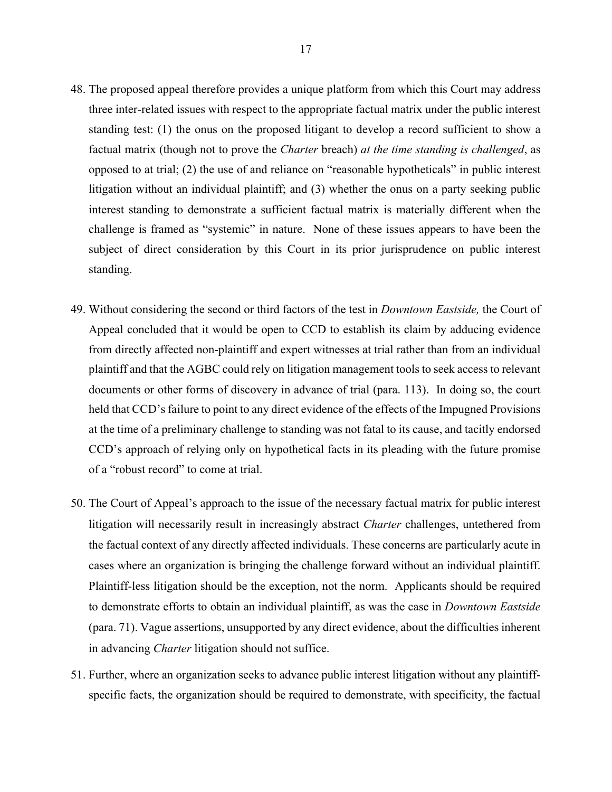- 48. The proposed appeal therefore provides a unique platform from which this Court may address three inter-related issues with respect to the appropriate factual matrix under the public interest standing test: (1) the onus on the proposed litigant to develop a record sufficient to show a factual matrix (though not to prove the *Charter* breach) *at the time standing is challenged*, as opposed to at trial; (2) the use of and reliance on "reasonable hypotheticals" in public interest litigation without an individual plaintiff; and (3) whether the onus on a party seeking public interest standing to demonstrate a sufficient factual matrix is materially different when the challenge is framed as "systemic" in nature. None of these issues appears to have been the subject of direct consideration by this Court in its prior jurisprudence on public interest standing.
- 49. Without considering the second or third factors of the test in *Downtown Eastside,* the Court of Appeal concluded that it would be open to CCD to establish its claim by adducing evidence from directly affected non-plaintiff and expert witnesses at trial rather than from an individual plaintiff and that the AGBC could rely on litigation management tools to seek access to relevant documents or other forms of discovery in advance of trial (para. 113). In doing so, the court held that CCD's failure to point to any direct evidence of the effects of the Impugned Provisions at the time of a preliminary challenge to standing was not fatal to its cause, and tacitly endorsed CCD's approach of relying only on hypothetical facts in its pleading with the future promise of a "robust record" to come at trial.
- 50. The Court of Appeal's approach to the issue of the necessary factual matrix for public interest litigation will necessarily result in increasingly abstract *Charter* challenges, untethered from the factual context of any directly affected individuals. These concerns are particularly acute in cases where an organization is bringing the challenge forward without an individual plaintiff. Plaintiff-less litigation should be the exception, not the norm. Applicants should be required to demonstrate efforts to obtain an individual plaintiff, as was the case in *Downtown Eastside*  (para. 71). Vague assertions, unsupported by any direct evidence, about the difficulties inherent in advancing *Charter* litigation should not suffice.
- 51. Further, where an organization seeks to advance public interest litigation without any plaintiffspecific facts, the organization should be required to demonstrate, with specificity, the factual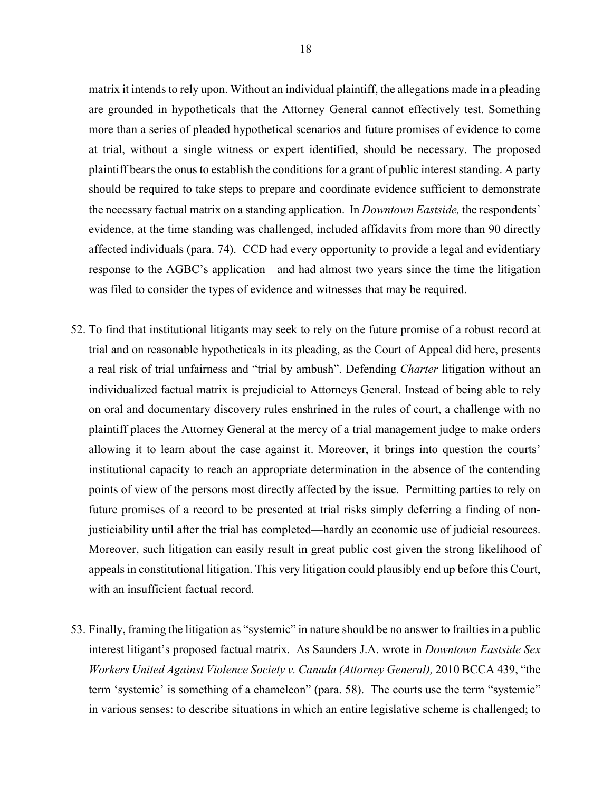matrix it intends to rely upon. Without an individual plaintiff, the allegations made in a pleading are grounded in hypotheticals that the Attorney General cannot effectively test. Something more than a series of pleaded hypothetical scenarios and future promises of evidence to come at trial, without a single witness or expert identified, should be necessary. The proposed plaintiff bears the onus to establish the conditions for a grant of public interest standing. A party should be required to take steps to prepare and coordinate evidence sufficient to demonstrate the necessary factual matrix on a standing application. In *Downtown Eastside,* the respondents' evidence, at the time standing was challenged, included affidavits from more than 90 directly affected individuals (para. 74). CCD had every opportunity to provide a legal and evidentiary response to the AGBC's application—and had almost two years since the time the litigation was filed to consider the types of evidence and witnesses that may be required.

- 52. To find that institutional litigants may seek to rely on the future promise of a robust record at trial and on reasonable hypotheticals in its pleading, as the Court of Appeal did here, presents a real risk of trial unfairness and "trial by ambush". Defending *Charter* litigation without an individualized factual matrix is prejudicial to Attorneys General. Instead of being able to rely on oral and documentary discovery rules enshrined in the rules of court, a challenge with no plaintiff places the Attorney General at the mercy of a trial management judge to make orders allowing it to learn about the case against it. Moreover, it brings into question the courts' institutional capacity to reach an appropriate determination in the absence of the contending points of view of the persons most directly affected by the issue. Permitting parties to rely on future promises of a record to be presented at trial risks simply deferring a finding of nonjusticiability until after the trial has completed—hardly an economic use of judicial resources. Moreover, such litigation can easily result in great public cost given the strong likelihood of appeals in constitutional litigation. This very litigation could plausibly end up before this Court, with an insufficient factual record.
- 53. Finally, framing the litigation as "systemic" in nature should be no answer to frailties in a public interest litigant's proposed factual matrix. As Saunders J.A. wrote in *Downtown Eastside Sex Workers United Against Violence Society v. Canada (Attorney General),* 2010 BCCA 439, "the term 'systemic' is something of a chameleon" (para. 58). The courts use the term "systemic" in various senses: to describe situations in which an entire legislative scheme is challenged; to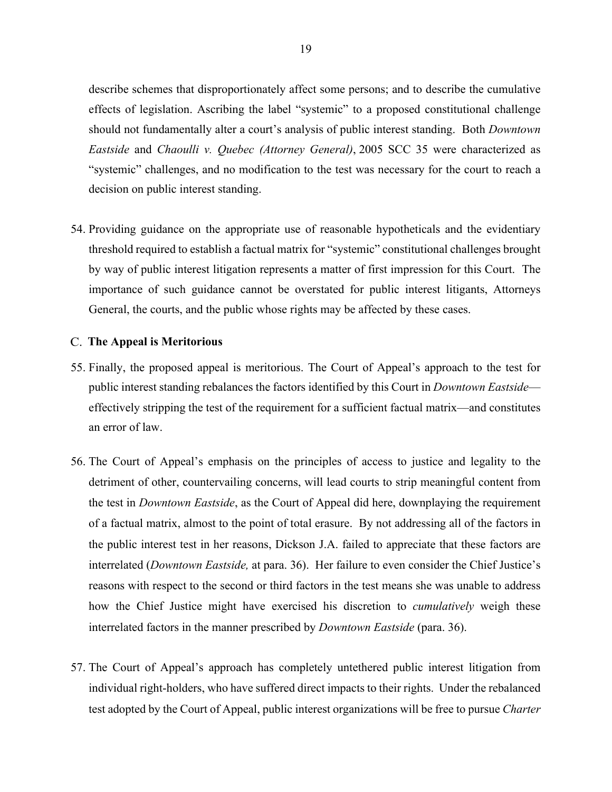describe schemes that disproportionately affect some persons; and to describe the cumulative effects of legislation. Ascribing the label "systemic" to a proposed constitutional challenge should not fundamentally alter a court's analysis of public interest standing. Both *Downtown Eastside* and *Chaoulli v. Quebec (Attorney General)*, 2005 SCC 35 were characterized as "systemic" challenges, and no modification to the test was necessary for the court to reach a decision on public interest standing.

54. Providing guidance on the appropriate use of reasonable hypotheticals and the evidentiary threshold required to establish a factual matrix for "systemic" constitutional challenges brought by way of public interest litigation represents a matter of first impression for this Court. The importance of such guidance cannot be overstated for public interest litigants, Attorneys General, the courts, and the public whose rights may be affected by these cases.

#### **The Appeal is Meritorious**

- 55. Finally, the proposed appeal is meritorious. The Court of Appeal's approach to the test for public interest standing rebalances the factors identified by this Court in *Downtown Eastside* effectively stripping the test of the requirement for a sufficient factual matrix—and constitutes an error of law.
- 56. The Court of Appeal's emphasis on the principles of access to justice and legality to the detriment of other, countervailing concerns, will lead courts to strip meaningful content from the test in *Downtown Eastside*, as the Court of Appeal did here, downplaying the requirement of a factual matrix, almost to the point of total erasure. By not addressing all of the factors in the public interest test in her reasons, Dickson J.A. failed to appreciate that these factors are interrelated (*Downtown Eastside,* at para. 36). Her failure to even consider the Chief Justice's reasons with respect to the second or third factors in the test means she was unable to address how the Chief Justice might have exercised his discretion to *cumulatively* weigh these interrelated factors in the manner prescribed by *Downtown Eastside* (para. 36).
- 57. The Court of Appeal's approach has completely untethered public interest litigation from individual right-holders, who have suffered direct impacts to their rights. Under the rebalanced test adopted by the Court of Appeal, public interest organizations will be free to pursue *Charter*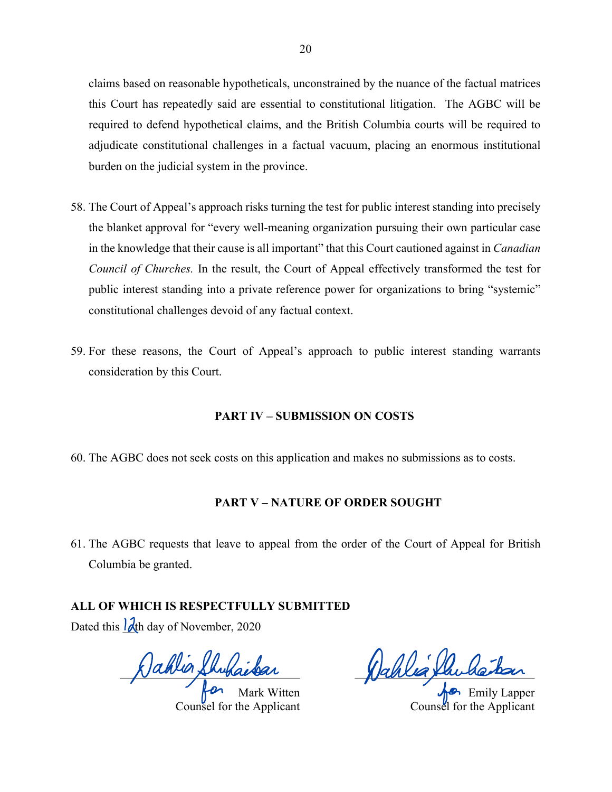claims based on reasonable hypotheticals, unconstrained by the nuance of the factual matrices this Court has repeatedly said are essential to constitutional litigation. The AGBC will be required to defend hypothetical claims, and the British Columbia courts will be required to adjudicate constitutional challenges in a factual vacuum, placing an enormous institutional burden on the judicial system in the province.

- 58. The Court of Appeal's approach risks turning the test for public interest standing into precisely the blanket approval for "every well-meaning organization pursuing their own particular case in the knowledge that their cause is all important" that this Court cautioned against in *Canadian Council of Churches.* In the result, the Court of Appeal effectively transformed the test for public interest standing into a private reference power for organizations to bring "systemic" constitutional challenges devoid of any factual context.
- 59. For these reasons, the Court of Appeal's approach to public interest standing warrants consideration by this Court.

## **PART IV – SUBMISSION ON COSTS**

60. The AGBC does not seek costs on this application and makes no submissions as to costs.

## **PART V – NATURE OF ORDER SOUGHT**

61. The AGBC requests that leave to appeal from the order of the Court of Appeal for British Columbia be granted.

**ALL OF WHICH IS RESPECTFULLY SUBMITTED**

Dated this  $\frac{\partial}{\partial x}$  day of November, 2020

 $\chi$ anun shukaissa

Mark Witten Counsel for the Applicant

 $\chi$  anea particulation

Emily Lapper Counsel for the Applicant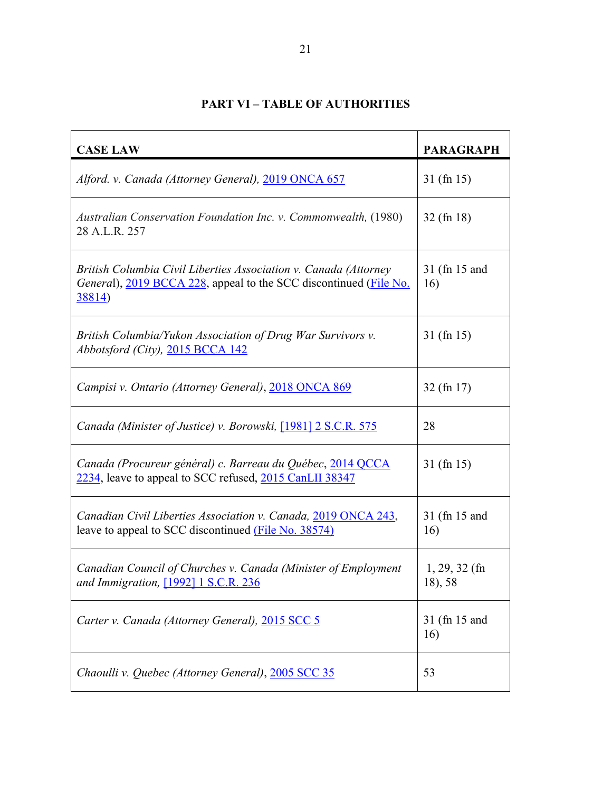# **PART VI – TABLE OF AUTHORITIES**

| <b>CASE LAW</b>                                                                                                                                         | <b>PARAGRAPH</b>           |
|---------------------------------------------------------------------------------------------------------------------------------------------------------|----------------------------|
| Alford. v. Canada (Attorney General), 2019 ONCA 657                                                                                                     | $31$ (fn 15)               |
| Australian Conservation Foundation Inc. v. Commonwealth, (1980)<br>28 A.L.R. 257                                                                        | $32$ (fn 18)               |
| British Columbia Civil Liberties Association v. Canada (Attorney<br>General), 2019 BCCA 228, appeal to the SCC discontinued (File No.<br><u>38814</u> ) | 31 (fn 15 and<br>16)       |
| British Columbia/Yukon Association of Drug War Survivors v.<br>Abbotsford (City), 2015 BCCA 142                                                         | $31$ (fn 15)               |
| Campisi v. Ontario (Attorney General), 2018 ONCA 869                                                                                                    | $32$ (fn 17)               |
| Canada (Minister of Justice) v. Borowski, [1981] 2 S.C.R. 575                                                                                           | 28                         |
| Canada (Procureur général) c. Barreau du Québec, 2014 QCCA<br>2234, leave to appeal to SCC refused, 2015 CanLII 38347                                   | $31$ (fn 15)               |
| Canadian Civil Liberties Association v. Canada, 2019 ONCA 243,<br>leave to appeal to SCC discontinued (File No. 38574)                                  | 31 (fn 15 and<br>16)       |
| Canadian Council of Churches v. Canada (Minister of Employment<br>and Immigration, [1992] 1 S.C.R. 236                                                  | $1, 29, 32$ (fn<br>18), 58 |
| Carter v. Canada (Attorney General), 2015 SCC 5                                                                                                         | 31 (fn 15 and<br>16)       |
| Chaoulli v. Quebec (Attorney General), 2005 SCC 35                                                                                                      | 53                         |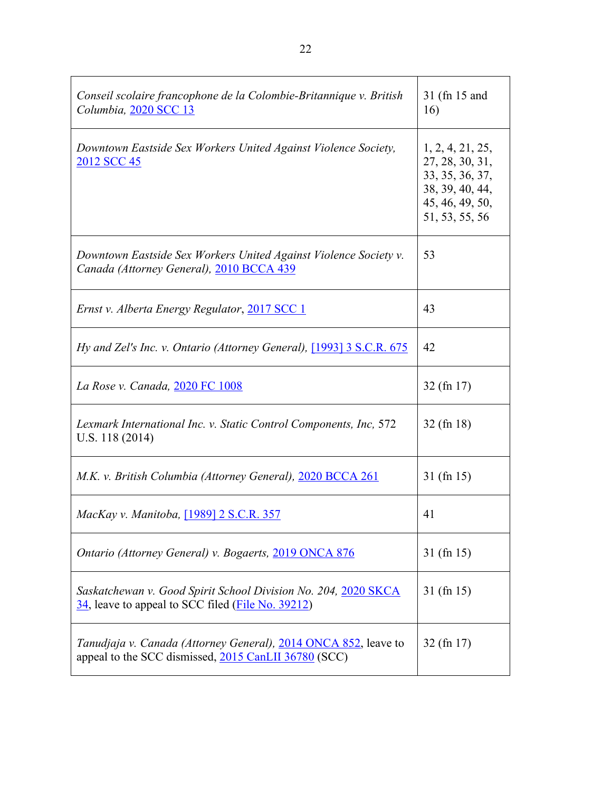| Conseil scolaire francophone de la Colombie-Britannique v. British<br>Columbia, 2020 SCC 13                                  | 31 (fn 15 and<br>16)                                                                                           |
|------------------------------------------------------------------------------------------------------------------------------|----------------------------------------------------------------------------------------------------------------|
| Downtown Eastside Sex Workers United Against Violence Society,<br>2012 SCC 45                                                | 1, 2, 4, 21, 25,<br>27, 28, 30, 31,<br>33, 35, 36, 37,<br>38, 39, 40, 44,<br>45, 46, 49, 50,<br>51, 53, 55, 56 |
| Downtown Eastside Sex Workers United Against Violence Society v.<br>Canada (Attorney General), 2010 BCCA 439                 | 53                                                                                                             |
| Ernst v. Alberta Energy Regulator, 2017 SCC 1                                                                                | 43                                                                                                             |
| Hy and Zel's Inc. v. Ontario (Attorney General), [1993] 3 S.C.R. 675                                                         | 42                                                                                                             |
| La Rose v. Canada, 2020 FC 1008                                                                                              | $32$ (fn 17)                                                                                                   |
| Lexmark International Inc. v. Static Control Components, Inc, 572<br>U.S. 118 (2014)                                         | $32$ (fn 18)                                                                                                   |
| M.K. v. British Columbia (Attorney General), 2020 BCCA 261                                                                   | $31$ (fn 15)                                                                                                   |
| MacKay v. Manitoba, [1989] 2 S.C.R. 357                                                                                      | 41                                                                                                             |
| Ontario (Attorney General) v. Bogaerts, 2019 ONCA 876                                                                        | $31$ (fn 15)                                                                                                   |
| Saskatchewan v. Good Spirit School Division No. 204, 2020 SKCA<br>34, leave to appeal to SCC filed ( <i>File No. 39212</i> ) | $31$ (fn 15)                                                                                                   |
| Tanudjaja v. Canada (Attorney General), 2014 ONCA 852, leave to<br>appeal to the SCC dismissed, 2015 CanLII 36780 (SCC)      | $32$ (fn 17)                                                                                                   |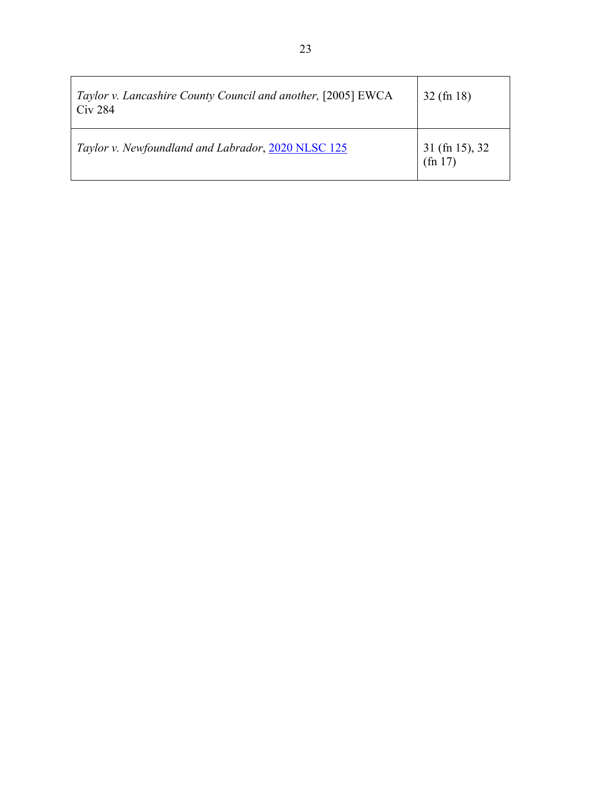| Taylor v. Lancashire County Council and another, [2005] EWCA<br>Civ 284 | $32$ (fn 18)                |
|-------------------------------------------------------------------------|-----------------------------|
| Taylor v. Newfoundland and Labrador, 2020 NLSC 125                      | $31$ (fn 15), 32<br>(fn 17) |